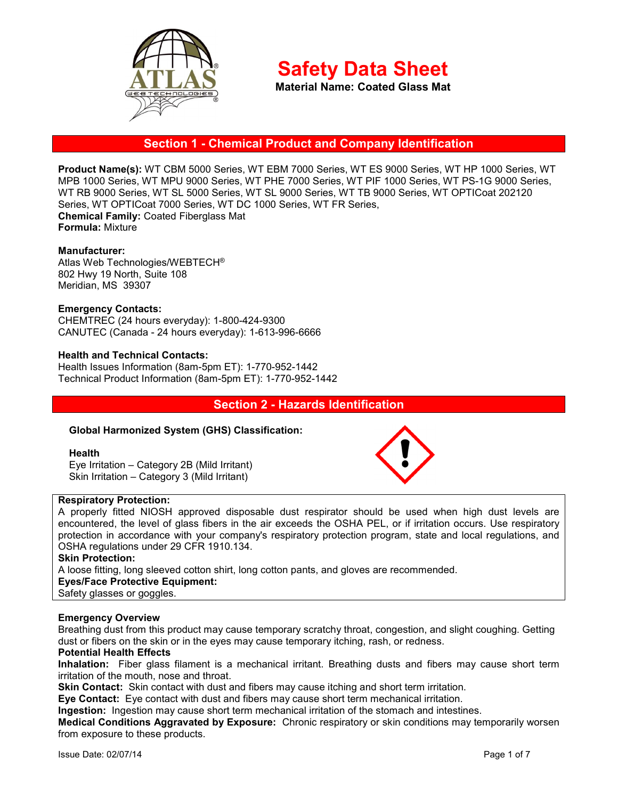

**Material Name: Coated Glass Mat**

# **Section 1 - Chemical Product and Company Identification**

**Product Name(s):** WT CBM 5000 Series, WT EBM 7000 Series, WT ES 9000 Series, WT HP 1000 Series, WT MPB 1000 Series, WT MPU 9000 Series, WT PHE 7000 Series, WT PIF 1000 Series, WT PS-1G 9000 Series, WT RB 9000 Series, WT SL 5000 Series, WT SL 9000 Series, WT TB 9000 Series, WT OPTICoat 202120 Series, WT OPTICoat 7000 Series, WT DC 1000 Series, WT FR Series, **Chemical Family:** Coated Fiberglass Mat **Formula:** Mixture

### **Manufacturer:**

Atlas Web Technologies/WEBTECH® 802 Hwy 19 North, Suite 108 Meridian, MS 39307

### **Emergency Contacts:**

CHEMTREC (24 hours everyday): 1-800-424-9300 CANUTEC (Canada - 24 hours everyday): 1-613-996-6666

### **Health and Technical Contacts:**

Health Issues Information (8am-5pm ET): 1-770-952-1442 Technical Product Information (8am-5pm ET): 1-770-952-1442

### **Section 2 - Hazards Identification**

### **Global Harmonized System (GHS) Classification:**

#### **Health**

Eye Irritation – Category 2B (Mild Irritant) Skin Irritation – Category 3 (Mild Irritant)



A properly fitted NIOSH approved disposable dust respirator should be used when high dust levels are encountered, the level of glass fibers in the air exceeds the OSHA PEL, or if irritation occurs. Use respiratory protection in accordance with your company's respiratory protection program, state and local regulations, and OSHA regulations under 29 CFR 1910.134.

### **Skin Protection:**

A loose fitting, long sleeved cotton shirt, long cotton pants, and gloves are recommended.

**Eyes/Face Protective Equipment:** 

Safety glasses or goggles.

#### **Emergency Overview**

Breathing dust from this product may cause temporary scratchy throat, congestion, and slight coughing. Getting dust or fibers on the skin or in the eyes may cause temporary itching, rash, or redness.

#### **Potential Health Effects**

**Inhalation:** Fiber glass filament is a mechanical irritant. Breathing dusts and fibers may cause short term irritation of the mouth, nose and throat.

**Skin Contact:** Skin contact with dust and fibers may cause itching and short term irritation.

**Eye Contact:** Eye contact with dust and fibers may cause short term mechanical irritation.

**Ingestion:** Ingestion may cause short term mechanical irritation of the stomach and intestines.

**Medical Conditions Aggravated by Exposure:** Chronic respiratory or skin conditions may temporarily worsen from exposure to these products.

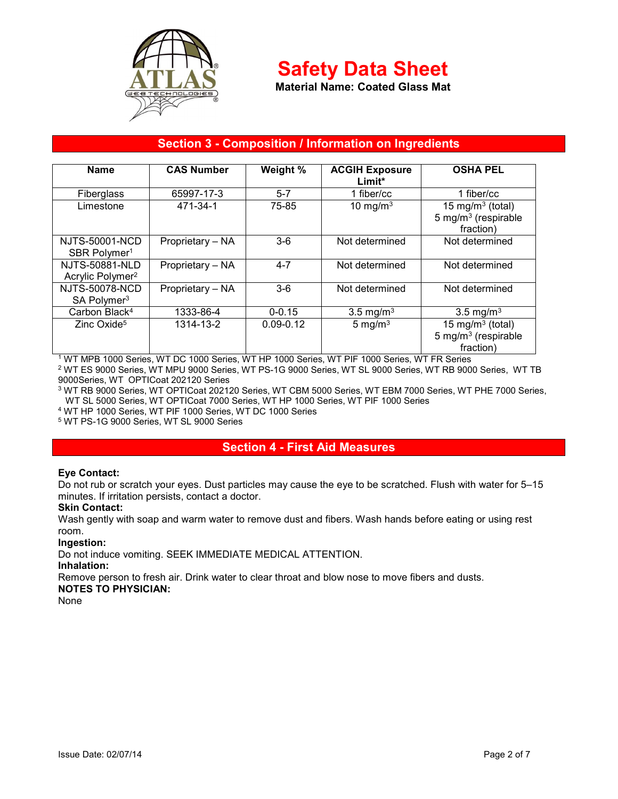

**Material Name: Coated Glass Mat**

# **Section 3 - Composition / Information on Ingredients**

| <b>Name</b>                                           | <b>CAS Number</b> | Weight %      | <b>ACGIH Exposure</b><br>Limit* | <b>OSHA PEL</b>                                                              |
|-------------------------------------------------------|-------------------|---------------|---------------------------------|------------------------------------------------------------------------------|
| <b>Fiberglass</b>                                     | 65997-17-3        | $5 - 7$       | 1 fiber/cc                      | 1 fiber/cc                                                                   |
| Limestone                                             | 471-34-1          | 75-85         | 10 mg/m $3$                     | 15 mg/m <sup>3</sup> (total)<br>5 mg/m <sup>3</sup> (respirable<br>fraction) |
| NJTS-50001-NCD<br>SBR Polymer <sup>1</sup>            | Proprietary - NA  | $3-6$         | Not determined                  | Not determined                                                               |
| <b>NJTS-50881-NLD</b><br>Acrylic Polymer <sup>2</sup> | Proprietary - NA  | $4 - 7$       | Not determined                  | Not determined                                                               |
| <b>NJTS-50078-NCD</b><br>SA Polymer <sup>3</sup>      | Proprietary - NA  | $3-6$         | Not determined                  | Not determined                                                               |
| Carbon Black <sup>4</sup>                             | 1333-86-4         | $0 - 0.15$    | 3.5 mg/m <sup>3</sup>           | 3.5 mg/m <sup>3</sup>                                                        |
| Zinc Oxide <sup>5</sup>                               | 1314-13-2         | $0.09 - 0.12$ | 5 mg/ $m3$                      | 15 mg/m <sup>3</sup> (total)<br>5 mg/m <sup>3</sup> (respirable<br>fraction) |

1 WT MPB 1000 Series, WT DC 1000 Series, WT HP 1000 Series, WT PIF 1000 Series, WT FR Series  $^2$  WT ES 9000 Series, WT MPU 9000 Series, WT PS-1G 9000 Series, WT SL 9000 Series, WT RB 9000 Series, WT TB 9000Series, WT OPTICoat 202120 Series

3 WT RB 9000 Series, WT OPTICoat 202120 Series, WT CBM 5000 Series, WT EBM 7000 Series, WT PHE 7000 Series, WT SL 5000 Series, WT OPTICoat 7000 Series, WT HP 1000 Series, WT PIF 1000 Series

4 WT HP 1000 Series, WT PIF 1000 Series, WT DC 1000 Series

5 WT PS-1G 9000 Series, WT SL 9000 Series

# **Section 4 - First Aid Measures**

### **Eye Contact:**

Do not rub or scratch your eyes. Dust particles may cause the eye to be scratched. Flush with water for 5–15 minutes. If irritation persists, contact a doctor.

### **Skin Contact:**

Wash gently with soap and warm water to remove dust and fibers. Wash hands before eating or using rest room.

### **Ingestion:**

Do not induce vomiting. SEEK IMMEDIATE MEDICAL ATTENTION.

### **Inhalation:**

Remove person to fresh air. Drink water to clear throat and blow nose to move fibers and dusts.

# **NOTES TO PHYSICIAN:**

None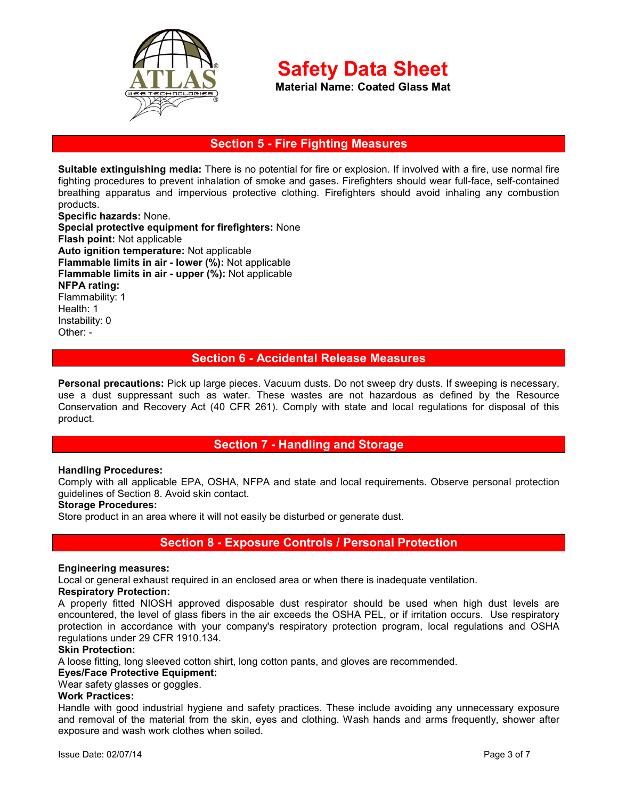

**Material Name: Coated Glass Mat**

# **Section 5 - Fire Fighting Measures**

**Suitable extinguishing media:** There is no potential for fire or explosion. If involved with a fire, use normal fire fighting procedures to prevent inhalation of smoke and gases. Firefighters should wear full-face, self-contained breathing apparatus and impervious protective clothing. Firefighters should avoid inhaling any combustion products.

**Specific hazards:** None. **Special protective equipment for firefighters:** None **Flash point:** Not applicable **Auto ignition temperature:** Not applicable **Flammable limits in air - lower (%):** Not applicable **Flammable limits in air - upper (%):** Not applicable **NFPA rating:**  Flammability: 1 Health: 1 Instability: 0 Other: -

### **Section 6 - Accidental Release Measures**

**Personal precautions:** Pick up large pieces. Vacuum dusts. Do not sweep dry dusts. If sweeping is necessary, use a dust suppressant such as water. These wastes are not hazardous as defined by the Resource Conservation and Recovery Act (40 CFR 261). Comply with state and local regulations for disposal of this product.

## **Section 7 - Handling and Storage**

#### **Handling Procedures:**

Comply with all applicable EPA, OSHA, NFPA and state and local requirements. Observe personal protection guidelines of Section 8. Avoid skin contact.

### **Storage Procedures:**

Store product in an area where it will not easily be disturbed or generate dust.

## **Section 8 - Exposure Controls / Personal Protection**

#### **Engineering measures:**

Local or general exhaust required in an enclosed area or when there is inadequate ventilation.

#### **Respiratory Protection:**

A properly fitted NIOSH approved disposable dust respirator should be used when high dust levels are encountered, the level of glass fibers in the air exceeds the OSHA PEL, or if irritation occurs. Use respiratory protection in accordance with your company's respiratory protection program, local regulations and OSHA regulations under 29 CFR 1910.134.

#### **Skin Protection:**

A loose fitting, long sleeved cotton shirt, long cotton pants, and gloves are recommended.

**Eyes/Face Protective Equipment:** 

Wear safety glasses or goggles.

### **Work Practices:**

Handle with good industrial hygiene and safety practices. These include avoiding any unnecessary exposure and removal of the material from the skin, eyes and clothing. Wash hands and arms frequently, shower after exposure and wash work clothes when soiled.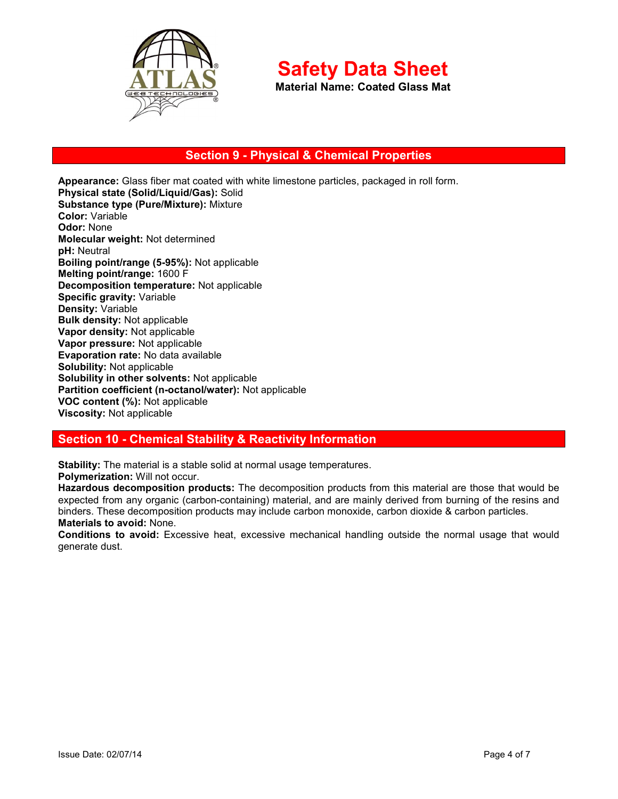

**Material Name: Coated Glass Mat**

# **Section 9 - Physical & Chemical Properties**

**Appearance:** Glass fiber mat coated with white limestone particles, packaged in roll form. **Physical state (Solid/Liquid/Gas):** Solid **Substance type (Pure/Mixture):** Mixture **Color:** Variable **Odor:** None **Molecular weight:** Not determined **pH:** Neutral **Boiling point/range (5-95%):** Not applicable **Melting point/range:** 1600 F **Decomposition temperature:** Not applicable **Specific gravity:** Variable **Density:** Variable **Bulk density:** Not applicable **Vapor density:** Not applicable **Vapor pressure:** Not applicable **Evaporation rate:** No data available **Solubility:** Not applicable **Solubility in other solvents:** Not applicable **Partition coefficient (n-octanol/water):** Not applicable **VOC content (%):** Not applicable **Viscosity:** Not applicable

## **Section 10 - Chemical Stability & Reactivity Information**

**Stability:** The material is a stable solid at normal usage temperatures. **Polymerization:** Will not occur.

**Hazardous decomposition products:** The decomposition products from this material are those that would be expected from any organic (carbon-containing) material, and are mainly derived from burning of the resins and binders. These decomposition products may include carbon monoxide, carbon dioxide & carbon particles.

### **Materials to avoid:** None.

**Conditions to avoid:** Excessive heat, excessive mechanical handling outside the normal usage that would generate dust.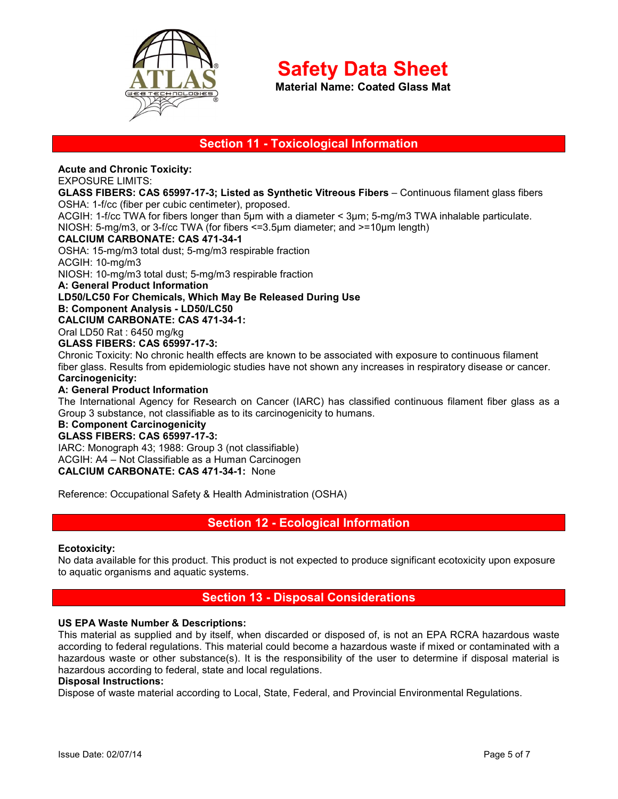

**Material Name: Coated Glass Mat**

# **Section 11 - Toxicological Information**

**Acute and Chronic Toxicity:**

### EXPOSURE LIMITS:

### **GLASS FIBERS: CAS 65997-17-3; Listed as Synthetic Vitreous Fibers** – Continuous filament glass fibers OSHA: 1-f/cc (fiber per cubic centimeter), proposed.

ACGIH: 1-f/cc TWA for fibers longer than 5µm with a diameter < 3µm; 5-mg/m3 TWA inhalable particulate. NIOSH: 5-mg/m3, or 3-f/cc TWA (for fibers <=3.5µm diameter; and >=10µm length)

### **CALCIUM CARBONATE: CAS 471-34-1**

OSHA: 15-mg/m3 total dust; 5-mg/m3 respirable fraction

ACGIH: 10-mg/m3

NIOSH: 10-mg/m3 total dust; 5-mg/m3 respirable fraction

**A: General Product Information** 

### **LD50/LC50 For Chemicals, Which May Be Released During Use**

**B: Component Analysis - LD50/LC50** 

### **CALCIUM CARBONATE: CAS 471-34-1:**

Oral LD50 Rat : 6450 mg/kg

### **GLASS FIBERS: CAS 65997-17-3:**

Chronic Toxicity: No chronic health effects are known to be associated with exposure to continuous filament fiber glass. Results from epidemiologic studies have not shown any increases in respiratory disease or cancer. **Carcinogenicity:** 

### **A: General Product Information**

The International Agency for Research on Cancer (IARC) has classified continuous filament fiber glass as a Group 3 substance, not classifiable as to its carcinogenicity to humans.

# **B: Component Carcinogenicity**

### **GLASS FIBERS: CAS 65997-17-3:**

IARC: Monograph 43; 1988: Group 3 (not classifiable) ACGIH: A4 – Not Classifiable as a Human Carcinogen **CALCIUM CARBONATE: CAS 471-34-1:** None

Reference: Occupational Safety & Health Administration (OSHA)

## **Section 12 - Ecological Information**

### **Ecotoxicity:**

No data available for this product. This product is not expected to produce significant ecotoxicity upon exposure to aquatic organisms and aquatic systems.

## **Section 13 - Disposal Considerations**

### **US EPA Waste Number & Descriptions:**

This material as supplied and by itself, when discarded or disposed of, is not an EPA RCRA hazardous waste according to federal regulations. This material could become a hazardous waste if mixed or contaminated with a hazardous waste or other substance(s). It is the responsibility of the user to determine if disposal material is hazardous according to federal, state and local regulations.

### **Disposal Instructions:**

Dispose of waste material according to Local, State, Federal, and Provincial Environmental Regulations.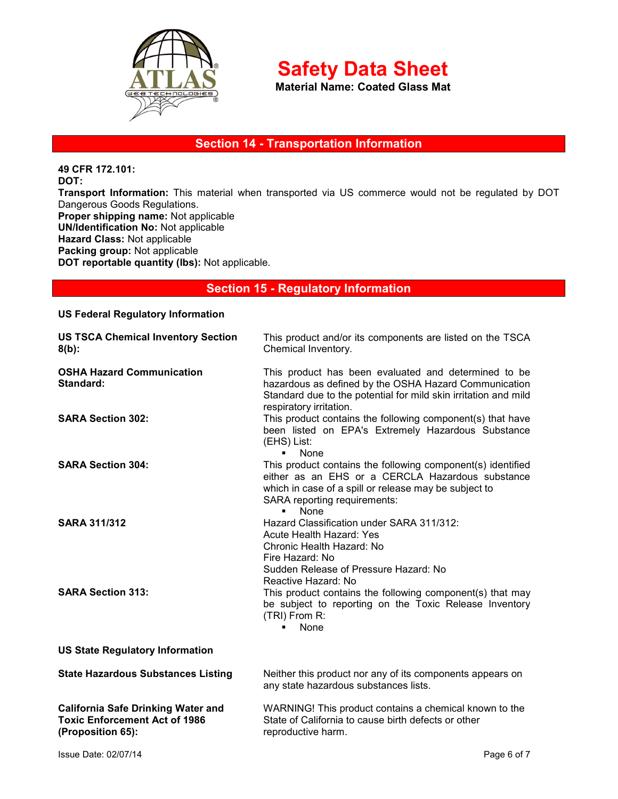

**Material Name: Coated Glass Mat**

# **Section 14 - Transportation Information**

**49 CFR 172.101: DOT: Transport Information:** This material when transported via US commerce would not be regulated by DOT Dangerous Goods Regulations. **Proper shipping name:** Not applicable **UN/Identification No:** Not applicable **Hazard Class:** Not applicable **Packing group:** Not applicable **DOT reportable quantity (lbs):** Not applicable.

# **Section 15 - Regulatory Information**

| <b>US Federal Regulatory Information</b>                                                               |                                                                                                                                                                                                                                    |  |  |
|--------------------------------------------------------------------------------------------------------|------------------------------------------------------------------------------------------------------------------------------------------------------------------------------------------------------------------------------------|--|--|
| <b>US TSCA Chemical Inventory Section</b><br>$8(b)$ :                                                  | This product and/or its components are listed on the TSCA<br>Chemical Inventory.                                                                                                                                                   |  |  |
| <b>OSHA Hazard Communication</b><br>Standard:                                                          | This product has been evaluated and determined to be<br>hazardous as defined by the OSHA Hazard Communication<br>Standard due to the potential for mild skin irritation and mild<br>respiratory irritation.                        |  |  |
| <b>SARA Section 302:</b>                                                                               | This product contains the following component(s) that have<br>been listed on EPA's Extremely Hazardous Substance<br>(EHS) List:<br><b>None</b>                                                                                     |  |  |
| <b>SARA Section 304:</b>                                                                               | This product contains the following component(s) identified<br>either as an EHS or a CERCLA Hazardous substance<br>which in case of a spill or release may be subject to<br>SARA reporting requirements:<br>None<br>$\blacksquare$ |  |  |
| <b>SARA 311/312</b>                                                                                    | Hazard Classification under SARA 311/312:<br>Acute Health Hazard: Yes<br>Chronic Health Hazard: No<br>Fire Hazard: No<br>Sudden Release of Pressure Hazard: No<br>Reactive Hazard: No                                              |  |  |
| <b>SARA Section 313:</b>                                                                               | This product contains the following component(s) that may<br>be subject to reporting on the Toxic Release Inventory<br>(TRI) From R:<br>None                                                                                       |  |  |
| <b>US State Regulatory Information</b>                                                                 |                                                                                                                                                                                                                                    |  |  |
| <b>State Hazardous Substances Listing</b>                                                              | Neither this product nor any of its components appears on<br>any state hazardous substances lists.                                                                                                                                 |  |  |
| <b>California Safe Drinking Water and</b><br><b>Toxic Enforcement Act of 1986</b><br>(Proposition 65): | WARNING! This product contains a chemical known to the<br>State of California to cause birth defects or other<br>reproductive harm.                                                                                                |  |  |
|                                                                                                        |                                                                                                                                                                                                                                    |  |  |